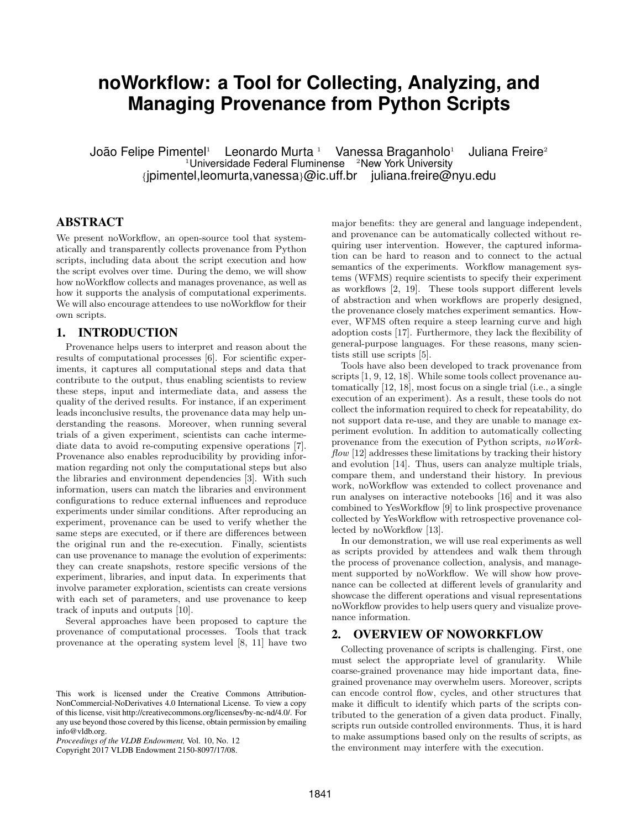# **noWorkflow: a Tool for Collecting, Analyzing, and Managing Provenance from Python Scripts**

João Felipe Pimentel<sup>1</sup> Leonardo Murta <sup>1</sup> Vanessa Braganholo<sup>1</sup> Juliana Freire<sup>2</sup>  $1$ Universidade Federal Fluminense  $2$ New York University {jpimentel,leomurta,vanessa}@ic.uff.br juliana.freire@nyu.edu

# ABSTRACT

We present noWorkflow, an open-source tool that systematically and transparently collects provenance from Python scripts, including data about the script execution and how the script evolves over time. During the demo, we will show how noWorkflow collects and manages provenance, as well as how it supports the analysis of computational experiments. We will also encourage attendees to use noWorkflow for their own scripts.

# 1. INTRODUCTION

Provenance helps users to interpret and reason about the results of computational processes [6]. For scientific experiments, it captures all computational steps and data that contribute to the output, thus enabling scientists to review these steps, input and intermediate data, and assess the quality of the derived results. For instance, if an experiment leads inconclusive results, the provenance data may help understanding the reasons. Moreover, when running several trials of a given experiment, scientists can cache intermediate data to avoid re-computing expensive operations [7]. Provenance also enables reproducibility by providing information regarding not only the computational steps but also the libraries and environment dependencies [3]. With such information, users can match the libraries and environment configurations to reduce external influences and reproduce experiments under similar conditions. After reproducing an experiment, provenance can be used to verify whether the same steps are executed, or if there are differences between the original run and the re-execution. Finally, scientists can use provenance to manage the evolution of experiments: they can create snapshots, restore specific versions of the experiment, libraries, and input data. In experiments that involve parameter exploration, scientists can create versions with each set of parameters, and use provenance to keep track of inputs and outputs [10].

Several approaches have been proposed to capture the provenance of computational processes. Tools that track provenance at the operating system level [8, 11] have two

Copyright 2017 VLDB Endowment 2150-8097/17/08.

major benefits: they are general and language independent, and provenance can be automatically collected without requiring user intervention. However, the captured information can be hard to reason and to connect to the actual semantics of the experiments. Workflow management systems (WFMS) require scientists to specify their experiment as workflows [2, 19]. These tools support different levels of abstraction and when workflows are properly designed, the provenance closely matches experiment semantics. However, WFMS often require a steep learning curve and high adoption costs [17]. Furthermore, they lack the flexibility of general-purpose languages. For these reasons, many scientists still use scripts [5].

Tools have also been developed to track provenance from scripts [1, 9, 12, 18]. While some tools collect provenance automatically [12, 18], most focus on a single trial (i.e., a single execution of an experiment). As a result, these tools do not collect the information required to check for repeatability, do not support data re-use, and they are unable to manage experiment evolution. In addition to automatically collecting provenance from the execution of Python scripts, noWork $flow [12]$  addresses these limitations by tracking their history and evolution [14]. Thus, users can analyze multiple trials, compare them, and understand their history. In previous work, noWorkflow was extended to collect provenance and run analyses on interactive notebooks [16] and it was also combined to YesWorkflow [9] to link prospective provenance collected by YesWorkflow with retrospective provenance collected by noWorkflow [13].

In our demonstration, we will use real experiments as well as scripts provided by attendees and walk them through the process of provenance collection, analysis, and management supported by noWorkflow. We will show how provenance can be collected at different levels of granularity and showcase the different operations and visual representations noWorkflow provides to help users query and visualize provenance information.

### 2. OVERVIEW OF NOWORKFLOW

Collecting provenance of scripts is challenging. First, one must select the appropriate level of granularity. While coarse-grained provenance may hide important data, finegrained provenance may overwhelm users. Moreover, scripts can encode control flow, cycles, and other structures that make it difficult to identify which parts of the scripts contributed to the generation of a given data product. Finally, scripts run outside controlled environments. Thus, it is hard to make assumptions based only on the results of scripts, as the environment may interfere with the execution.

This work is licensed under the Creative Commons Attribution-NonCommercial-NoDerivatives 4.0 International License. To view a copy of this license, visit http://creativecommons.org/licenses/by-nc-nd/4.0/. For any use beyond those covered by this license, obtain permission by emailing info@vldb.org.

*Proceedings of the VLDB Endowment,* Vol. 10, No. 12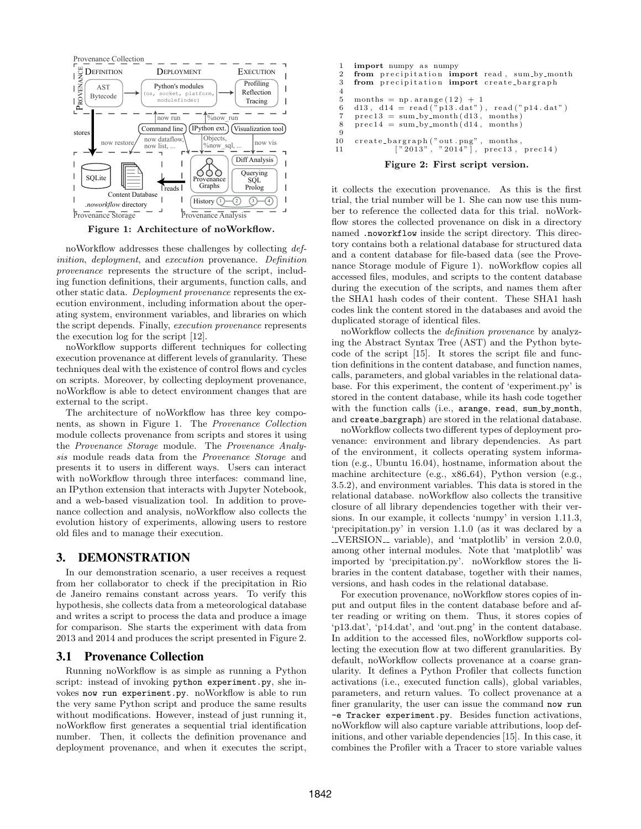

Figure 1: Architecture of noWorkflow.

noWorkflow addresses these challenges by collecting definition, deployment, and execution provenance. Definition provenance represents the structure of the script, including function definitions, their arguments, function calls, and other static data. Deployment provenance represents the execution environment, including information about the operating system, environment variables, and libraries on which the script depends. Finally, execution provenance represents the execution log for the script [12].

noWorkflow supports different techniques for collecting execution provenance at different levels of granularity. These techniques deal with the existence of control flows and cycles on scripts. Moreover, by collecting deployment provenance, noWorkflow is able to detect environment changes that are external to the script.

The architecture of noWorkflow has three key components, as shown in Figure 1. The Provenance Collection module collects provenance from scripts and stores it using the Provenance Storage module. The Provenance Analysis module reads data from the Provenance Storage and presents it to users in different ways. Users can interact with noWorkflow through three interfaces: command line, an IPython extension that interacts with Jupyter Notebook, and a web-based visualization tool. In addition to provenance collection and analysis, noWorkflow also collects the evolution history of experiments, allowing users to restore old files and to manage their execution.

# 3. DEMONSTRATION

In our demonstration scenario, a user receives a request from her collaborator to check if the precipitation in Rio de Janeiro remains constant across years. To verify this hypothesis, she collects data from a meteorological database and writes a script to process the data and produce a image for comparison. She starts the experiment with data from 2013 and 2014 and produces the script presented in Figure 2.

# 3.1 Provenance Collection

Running noWorkflow is as simple as running a Python script: instead of invoking python experiment.py, she invokes now run experiment.py. noWorkflow is able to run the very same Python script and produce the same results without modifications. However, instead of just running it, noWorkflow first generates a sequential trial identification number. Then, it collects the definition provenance and deployment provenance, and when it executes the script,

```
1 import numpy as numpy<br>2 from precipitation im
2 from precipitation import read, sum by month<br>3 from precipitation import create bargraph
       from precipitation import create_bargraph
\frac{4}{5}5 months = np. arange (12) + 1<br>6 d13. d14 = read ("p13. dat")
6 d13, d14 = read (\overline{v} \text{p13.} \text{dat}^n), read (\overline{v} \text{p14.} \text{dat}^n)<br>7 prec13 = sum_by_month(d13, months)
       \text{prec13} = \text{sum-by-month} (d13, \text{ months})8 \text{ prec14} = \text{sum-by-month} \left( d14, \text{ months} \right)9
10 create_bargraph("out.png", months,<br>
11 ["2013", "2014"], prec13, prec14)
```
# Figure 2: First script version.

it collects the execution provenance. As this is the first trial, the trial number will be 1. She can now use this number to reference the collected data for this trial. noWorkflow stores the collected provenance on disk in a directory named .noworkflow inside the script directory. This directory contains both a relational database for structured data and a content database for file-based data (see the Provenance Storage module of Figure 1). noWorkflow copies all accessed files, modules, and scripts to the content database during the execution of the scripts, and names them after the SHA1 hash codes of their content. These SHA1 hash codes link the content stored in the databases and avoid the duplicated storage of identical files.

noWorkflow collects the definition provenance by analyzing the Abstract Syntax Tree (AST) and the Python bytecode of the script [15]. It stores the script file and function definitions in the content database, and function names, calls, parameters, and global variables in the relational database. For this experiment, the content of 'experiment.py' is stored in the content database, while its hash code together with the function calls (i.e., arange, read, sum\_by\_month, and create bargraph) are stored in the relational database.

noWorkflow collects two different types of deployment provenance: environment and library dependencies. As part of the environment, it collects operating system information (e.g., Ubuntu 16.04), hostname, information about the machine architecture (e.g., x86 64), Python version (e.g., 3.5.2), and environment variables. This data is stored in the relational database. noWorkflow also collects the transitive closure of all library dependencies together with their versions. In our example, it collects 'numpy' in version 1.11.3, 'precipitation.py' in version 1.1.0 (as it was declared by a  $\text{\textendash}$  variable), and 'matplotlib' in version 2.0.0, among other internal modules. Note that 'matplotlib' was imported by 'precipitation.py'. noWorkflow stores the libraries in the content database, together with their names, versions, and hash codes in the relational database.

For execution provenance, noWorkflow stores copies of input and output files in the content database before and after reading or writing on them. Thus, it stores copies of 'p13.dat', 'p14.dat', and 'out.png' in the content database. In addition to the accessed files, noWorkflow supports collecting the execution flow at two different granularities. By default, noWorkflow collects provenance at a coarse granularity. It defines a Python Profiler that collects function activations (i.e., executed function calls), global variables, parameters, and return values. To collect provenance at a finer granularity, the user can issue the command now run -e Tracker experiment.py. Besides function activations, noWorkflow will also capture variable attributions, loop definitions, and other variable dependencies [15]. In this case, it combines the Profiler with a Tracer to store variable values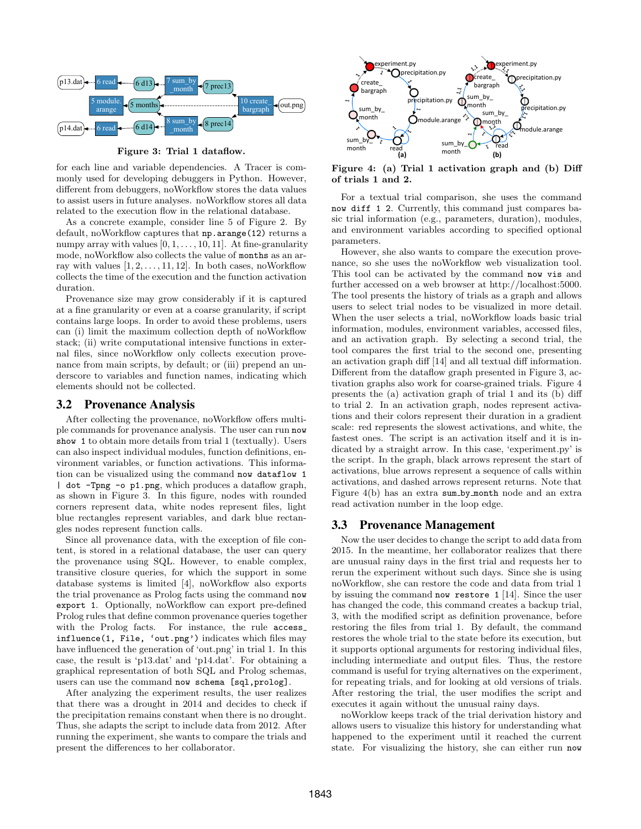

Figure 3: Trial 1 dataflow.

for each line and variable dependencies. A Tracer is commonly used for developing debuggers in Python. However, different from debuggers, noWorkflow stores the data values to assist users in future analyses. noWorkflow stores all data related to the execution flow in the relational database.

As a concrete example, consider line 5 of Figure 2. By default, noWorkflow captures that np.arange(12) returns a numpy array with values  $[0, 1, \ldots, 10, 11]$ . At fine-granularity mode, noWorkflow also collects the value of months as an array with values  $[1, 2, \ldots, 11, 12]$ . In both cases, noWorkflow collects the time of the execution and the function activation duration.

Provenance size may grow considerably if it is captured at a fine granularity or even at a coarse granularity, if script contains large loops. In order to avoid these problems, users can (i) limit the maximum collection depth of noWorkflow stack; (ii) write computational intensive functions in external files, since noWorkflow only collects execution provenance from main scripts, by default; or (iii) prepend an underscore to variables and function names, indicating which elements should not be collected.

#### 3.2 Provenance Analysis

After collecting the provenance, noWorkflow offers multiple commands for provenance analysis. The user can run now show 1 to obtain more details from trial 1 (textually). Users can also inspect individual modules, function definitions, environment variables, or function activations. This information can be visualized using the command now dataflow 1 | dot -Tpng -o p1.png, which produces a dataflow graph, as shown in Figure 3. In this figure, nodes with rounded corners represent data, white nodes represent files, light blue rectangles represent variables, and dark blue rectangles nodes represent function calls.

Since all provenance data, with the exception of file content, is stored in a relational database, the user can query the provenance using SQL. However, to enable complex, transitive closure queries, for which the support in some database systems is limited [4], noWorkflow also exports the trial provenance as Prolog facts using the command now export 1. Optionally, noWorkflow can export pre-defined Prolog rules that define common provenance queries together with the Prolog facts. For instance, the rule access\_ influence(1, File, 'out.png') indicates which files may have influenced the generation of 'out.png' in trial 1. In this case, the result is 'p13.dat' and 'p14.dat'. For obtaining a graphical representation of both SQL and Prolog schemas, users can use the command now schema [sql,prolog].

After analyzing the experiment results, the user realizes that there was a drought in 2014 and decides to check if the precipitation remains constant when there is no drought. Thus, she adapts the script to include data from 2012. After running the experiment, she wants to compare the trials and present the differences to her collaborator.



Figure 4: (a) Trial 1 activation graph and (b) Diff of trials 1 and 2.

For a textual trial comparison, she uses the command now diff 1 2. Currently, this command just compares basic trial information (e.g., parameters, duration), modules, and environment variables according to specified optional parameters.

However, she also wants to compare the execution provenance, so she uses the noWorkflow web visualization tool. This tool can be activated by the command now vis and further accessed on a web browser at http://localhost:5000. The tool presents the history of trials as a graph and allows users to select trial nodes to be visualized in more detail. When the user selects a trial, noWorkflow loads basic trial information, modules, environment variables, accessed files, and an activation graph. By selecting a second trial, the tool compares the first trial to the second one, presenting an activation graph diff [14] and all textual diff information. Different from the dataflow graph presented in Figure 3, activation graphs also work for coarse-grained trials. Figure 4 presents the (a) activation graph of trial 1 and its (b) diff to trial 2. In an activation graph, nodes represent activations and their colors represent their duration in a gradient scale: red represents the slowest activations, and white, the fastest ones. The script is an activation itself and it is indicated by a straight arrow. In this case, 'experiment.py' is the script. In the graph, black arrows represent the start of activations, blue arrows represent a sequence of calls within activations, and dashed arrows represent returns. Note that Figure 4(b) has an extra sum by month node and an extra read activation number in the loop edge.

# 3.3 Provenance Management

Now the user decides to change the script to add data from 2015. In the meantime, her collaborator realizes that there are unusual rainy days in the first trial and requests her to rerun the experiment without such days. Since she is using noWorkflow, she can restore the code and data from trial 1 by issuing the command now restore 1 [14]. Since the user has changed the code, this command creates a backup trial, 3, with the modified script as definition provenance, before restoring the files from trial 1. By default, the command restores the whole trial to the state before its execution, but it supports optional arguments for restoring individual files, including intermediate and output files. Thus, the restore command is useful for trying alternatives on the experiment, for repeating trials, and for looking at old versions of trials. After restoring the trial, the user modifies the script and executes it again without the unusual rainy days.

noWorklow keeps track of the trial derivation history and allows users to visualize this history for understanding what happened to the experiment until it reached the current state. For visualizing the history, she can either run now